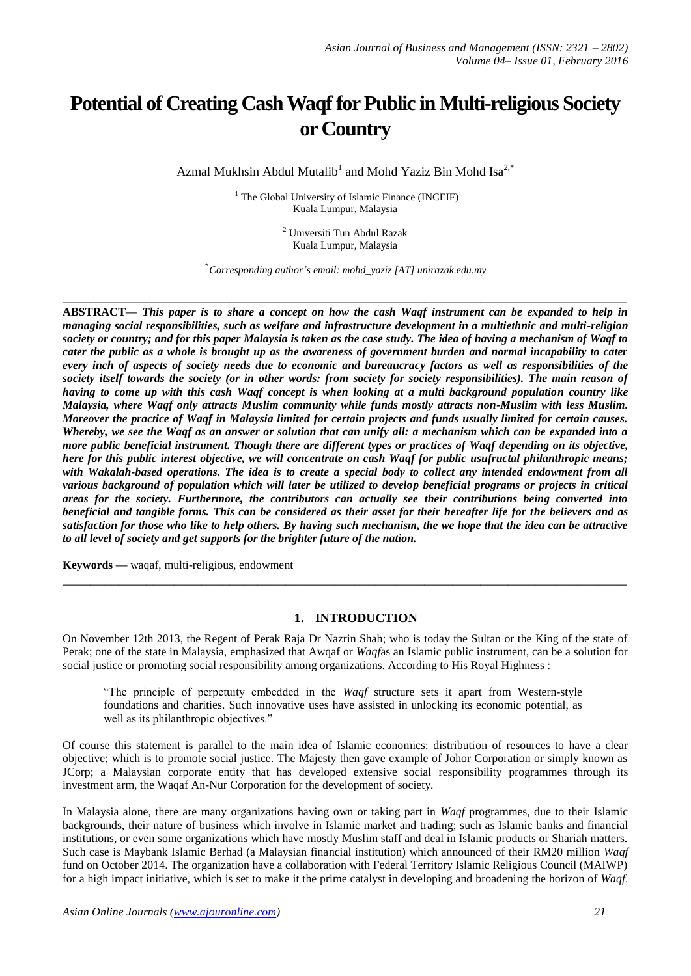# **Potential of Creating Cash Waqf for Public in Multi-religious Society or Country**

Azmal Mukhsin Abdul Mutalib<sup>1</sup> and Mohd Yaziz Bin Mohd Isa<sup>2,\*</sup>

<sup>1</sup> The Global University of Islamic Finance (INCEIF) Kuala Lumpur, Malaysia

> <sup>2</sup> Universiti Tun Abdul Razak Kuala Lumpur, Malaysia

\* *Corresponding author's email: mohd\_yaziz [AT] unirazak.edu.my*

**\_\_\_\_\_\_\_\_\_\_\_\_\_\_\_\_\_\_\_\_\_\_\_\_\_\_\_\_\_\_\_\_\_\_\_\_\_\_\_\_\_\_\_\_\_\_\_\_\_\_\_\_\_\_\_\_\_\_\_\_\_\_\_\_\_\_\_\_\_\_\_\_\_\_\_\_\_\_\_\_\_ ABSTRACT—** *This paper is to share a concept on how the cash Waqf instrument can be expanded to help in managing social responsibilities, such as welfare and infrastructure development in a multiethnic and multi-religion society or country; and for this paper Malaysia is taken as the case study. The idea of having a mechanism of Waqf to cater the public as a whole is brought up as the awareness of government burden and normal incapability to cater every inch of aspects of society needs due to economic and bureaucracy factors as well as responsibilities of the society itself towards the society (or in other words: from society for society responsibilities). The main reason of having to come up with this cash Waqf concept is when looking at a multi background population country like Malaysia, where Waqf only attracts Muslim community while funds mostly attracts non-Muslim with less Muslim. Moreover the practice of Waqf in Malaysia limited for certain projects and funds usually limited for certain causes. Whereby, we see the Waqf as an answer or solution that can unify all: a mechanism which can be expanded into a more public beneficial instrument. Though there are different types or practices of Waqf depending on its objective, here for this public interest objective, we will concentrate on cash Waqf for public usufructal philanthropic means;*  with Wakalah-based operations. The idea is to create a special body to collect any intended endowment from all *various background of population which will later be utilized to develop beneficial programs or projects in critical areas for the society. Furthermore, the contributors can actually see their contributions being converted into beneficial and tangible forms. This can be considered as their asset for their hereafter life for the believers and as satisfaction for those who like to help others. By having such mechanism, the we hope that the idea can be attractive to all level of society and get supports for the brighter future of the nation.*

**Keywords —** waqaf, multi-religious, endowment

#### **1. INTRODUCTION**

On November 12th 2013, the Regent of Perak Raja Dr Nazrin Shah; who is today the Sultan or the King of the state of Perak; one of the state in Malaysia, emphasized that Awqaf or *Waqf*as an Islamic public instrument, can be a solution for social justice or promoting social responsibility among organizations. According to His Royal Highness :

**\_\_\_\_\_\_\_\_\_\_\_\_\_\_\_\_\_\_\_\_\_\_\_\_\_\_\_\_\_\_\_\_\_\_\_\_\_\_\_\_\_\_\_\_\_\_\_\_\_\_\_\_\_\_\_\_\_\_\_\_\_\_\_\_\_\_\_\_\_\_\_\_\_\_\_\_\_\_\_\_\_**

"The principle of perpetuity embedded in the *Waqf* structure sets it apart from Western-style foundations and charities. Such innovative uses have assisted in unlocking its economic potential, as well as its philanthropic objectives."

Of course this statement is parallel to the main idea of Islamic economics: distribution of resources to have a clear objective; which is to promote social justice. The Majesty then gave example of Johor Corporation or simply known as JCorp; a Malaysian corporate entity that has developed extensive social responsibility programmes through its investment arm, the Waqaf An-Nur Corporation for the development of society.

In Malaysia alone, there are many organizations having own or taking part in *Waqf* programmes, due to their Islamic backgrounds, their nature of business which involve in Islamic market and trading; such as Islamic banks and financial institutions, or even some organizations which have mostly Muslim staff and deal in Islamic products or Shariah matters. Such case is Maybank Islamic Berhad (a Malaysian financial institution) which announced of their RM20 million *Waqf* fund on October 2014. The organization have a collaboration with Federal Territory Islamic Religious Council (MAIWP) for a high impact initiative, which is set to make it the prime catalyst in developing and broadening the horizon of *Waqf*.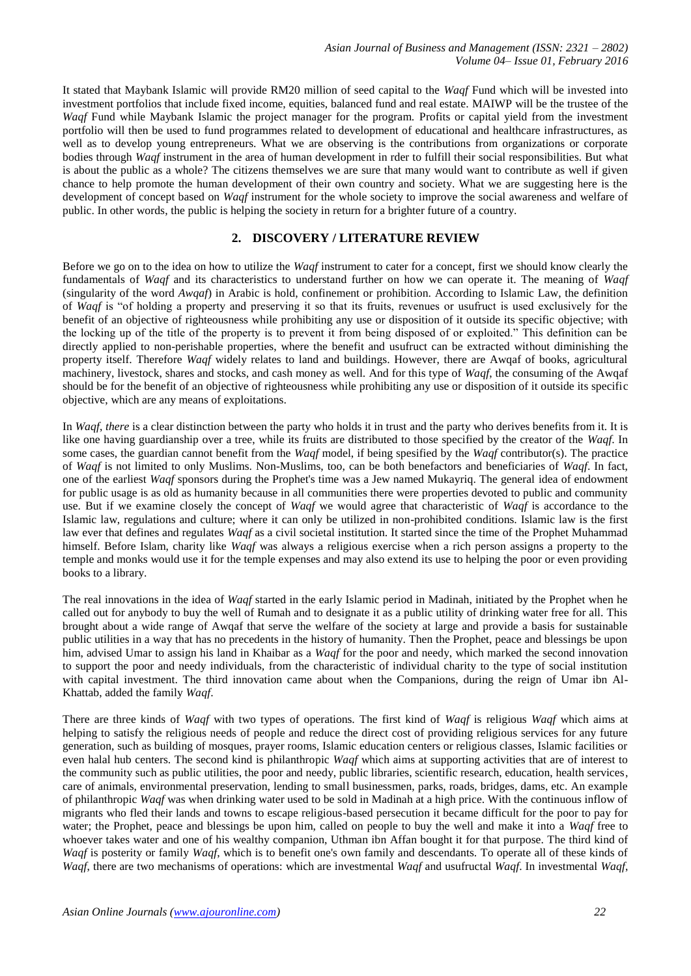It stated that Maybank Islamic will provide RM20 million of seed capital to the *Waqf* Fund which will be invested into investment portfolios that include fixed income, equities, balanced fund and real estate. MAIWP will be the trustee of the *Waqf* Fund while Maybank Islamic the project manager for the program. Profits or capital yield from the investment portfolio will then be used to fund programmes related to development of educational and healthcare infrastructures, as well as to develop young entrepreneurs. What we are observing is the contributions from organizations or corporate bodies through *Waqf* instrument in the area of human development in rder to fulfill their social responsibilities. But what is about the public as a whole? The citizens themselves we are sure that many would want to contribute as well if given chance to help promote the human development of their own country and society. What we are suggesting here is the development of concept based on *Waqf* instrument for the whole society to improve the social awareness and welfare of public. In other words, the public is helping the society in return for a brighter future of a country.

## **2. DISCOVERY / LITERATURE REVIEW**

Before we go on to the idea on how to utilize the *Waqf* instrument to cater for a concept, first we should know clearly the fundamentals of *Waqf* and its characteristics to understand further on how we can operate it. The meaning of *Waqf* (singularity of the word *Awqaf*) in Arabic is hold, confinement or prohibition. According to Islamic Law, the definition of *Waqf* is "of holding a property and preserving it so that its fruits, revenues or usufruct is used exclusively for the benefit of an objective of righteousness while prohibiting any use or disposition of it outside its specific objective; with the locking up of the title of the property is to prevent it from being disposed of or exploited." This definition can be directly applied to non-perishable properties, where the benefit and usufruct can be extracted without diminishing the property itself. Therefore *Waqf* widely relates to land and buildings. However, there are Awqaf of books, agricultural machinery, livestock, shares and stocks, and cash money as well. And for this type of *Waqf*, the consuming of the Awqaf should be for the benefit of an objective of righteousness while prohibiting any use or disposition of it outside its specific objective, which are any means of exploitations.

In *Waqf*, *there* is a clear distinction between the party who holds it in trust and the party who derives benefits from it. It is like one having guardianship over a tree, while its fruits are distributed to those specified by the creator of the *Waqf*. In some cases, the guardian cannot benefit from the *Waqf* model, if being spesified by the *Waqf* contributor(s). The practice of *Waqf* is not limited to only Muslims. Non-Muslims, too, can be both benefactors and beneficiaries of *Waqf*. In fact, one of the earliest *Waqf* sponsors during the Prophet's time was a Jew named Mukayriq. The general idea of endowment for public usage is as old as humanity because in all communities there were properties devoted to public and community use. But if we examine closely the concept of *Waqf* we would agree that characteristic of *Waqf* is accordance to the Islamic law, regulations and culture; where it can only be utilized in non-prohibited conditions. Islamic law is the first law ever that defines and regulates *Waqf* as a civil societal institution. It started since the time of the Prophet Muhammad himself. Before Islam, charity like *Waqf* was always a religious exercise when a rich person assigns a property to the temple and monks would use it for the temple expenses and may also extend its use to helping the poor or even providing books to a library.

The real innovations in the idea of *Waqf* started in the early Islamic period in Madinah, initiated by the Prophet when he called out for anybody to buy the well of Rumah and to designate it as a public utility of drinking water free for all. This brought about a wide range of Awqaf that serve the welfare of the society at large and provide a basis for sustainable public utilities in a way that has no precedents in the history of humanity. Then the Prophet, peace and blessings be upon him, advised Umar to assign his land in Khaibar as a *Waqf* for the poor and needy, which marked the second innovation to support the poor and needy individuals, from the characteristic of individual charity to the type of social institution with capital investment. The third innovation came about when the Companions, during the reign of Umar ibn Al-Khattab, added the family *Waqf*.

There are three kinds of *Waqf* with two types of operations. The first kind of *Waqf* is religious *Waqf* which aims at helping to satisfy the religious needs of people and reduce the direct cost of providing religious services for any future generation, such as building of mosques, prayer rooms, Islamic education centers or religious classes, Islamic facilities or even halal hub centers. The second kind is philanthropic *Waqf* which aims at supporting activities that are of interest to the community such as public utilities, the poor and needy, public libraries, scientific research, education, health services, care of animals, environmental preservation, lending to small businessmen, parks, roads, bridges, dams, etc. An example of philanthropic *Waqf* was when drinking water used to be sold in Madinah at a high price. With the continuous inflow of migrants who fled their lands and towns to escape religious-based persecution it became difficult for the poor to pay for water; the Prophet, peace and blessings be upon him, called on people to buy the well and make it into a *Waqf* free to whoever takes water and one of his wealthy companion, Uthman ibn Affan bought it for that purpose. The third kind of *Waqf* is posterity or family *Waqf*, which is to benefit one's own family and descendants. To operate all of these kinds of *Waqf*, there are two mechanisms of operations: which are investmental *Waqf* and usufructal *Waqf*. In investmental *Waqf*,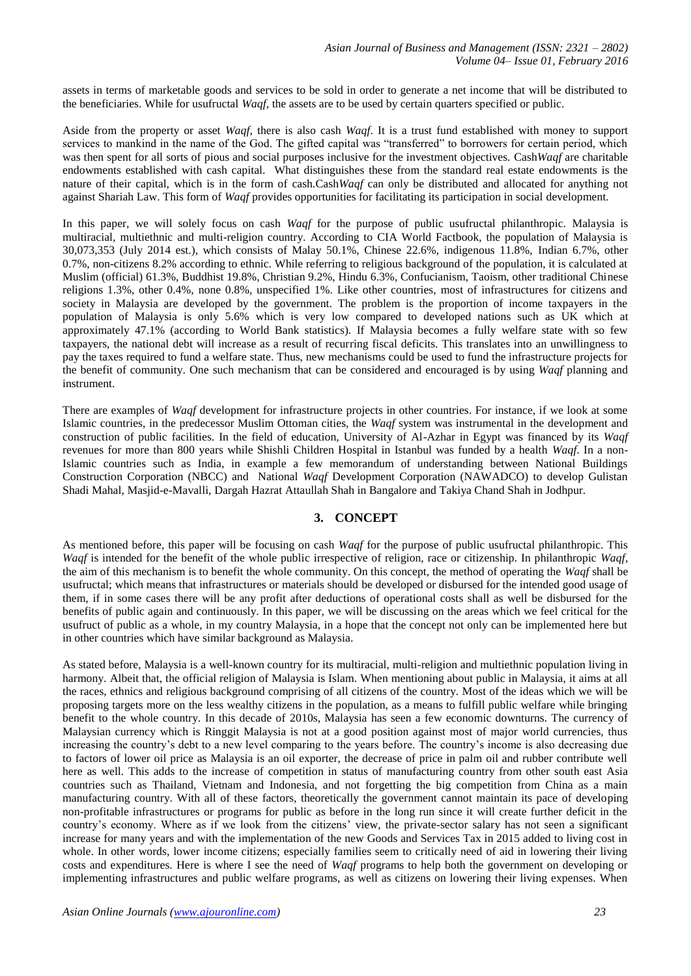assets in terms of marketable goods and services to be sold in order to generate a net income that will be distributed to the beneficiaries. While for usufructal *Waqf*, the assets are to be used by certain quarters specified or public.

Aside from the property or asset *Waqf*, there is also cash *Waqf*. It is a trust fund established with money to support services to mankind in the name of the God. The gifted capital was "transferred" to borrowers for certain period, which was then spent for all sorts of pious and social purposes inclusive for the investment objectives. Cash*Waqf* are charitable endowments established with cash capital. What distinguishes these from the standard real estate endowments is the nature of their capital, which is in the form of cash.Cash*Waqf* can only be distributed and allocated for anything not against Shariah Law. This form of *Waqf* provides opportunities for facilitating its participation in social development.

In this paper, we will solely focus on cash *Waqf* for the purpose of public usufructal philanthropic. Malaysia is multiracial, multiethnic and multi-religion country. According to CIA World Factbook, the population of Malaysia is 30,073,353 (July 2014 est.), which consists of Malay 50.1%, Chinese 22.6%, indigenous 11.8%, Indian 6.7%, other 0.7%, non-citizens 8.2% according to ethnic. While referring to religious background of the population, it is calculated at Muslim (official) 61.3%, Buddhist 19.8%, Christian 9.2%, Hindu 6.3%, Confucianism, Taoism, other traditional Chinese religions 1.3%, other 0.4%, none 0.8%, unspecified 1%. Like other countries, most of infrastructures for citizens and society in Malaysia are developed by the government. The problem is the proportion of income taxpayers in the population of Malaysia is only 5.6% which is very low compared to developed nations such as UK which at approximately 47.1% (according to World Bank statistics). If Malaysia becomes a fully welfare state with so few taxpayers, the national debt will increase as a result of recurring fiscal deficits. This translates into an unwillingness to pay the taxes required to fund a welfare state. Thus, new mechanisms could be used to fund the infrastructure projects for the benefit of community. One such mechanism that can be considered and encouraged is by using *Waqf* planning and instrument.

There are examples of *Waqf* development for infrastructure projects in other countries. For instance, if we look at some Islamic countries, in the predecessor Muslim Ottoman cities, the *Waqf* system was instrumental in the development and construction of public facilities. In the field of education, University of Al-Azhar in Egypt was financed by its *Waqf* revenues for more than 800 years while Shishli Children Hospital in Istanbul was funded by a health *Waqf*. In a non-Islamic countries such as India, in example a few memorandum of understanding between National Buildings Construction Corporation (NBCC) and National *Waqf* Development Corporation (NAWADCO) to develop Gulistan Shadi Mahal, Masjid-e-Mavalli, Dargah Hazrat Attaullah Shah in Bangalore and Takiya Chand Shah in Jodhpur.

#### **3. CONCEPT**

As mentioned before, this paper will be focusing on cash *Waqf* for the purpose of public usufructal philanthropic. This *Waqf* is intended for the benefit of the whole public irrespective of religion, race or citizenship. In philanthropic *Waqf*, the aim of this mechanism is to benefit the whole community. On this concept, the method of operating the *Waqf* shall be usufructal; which means that infrastructures or materials should be developed or disbursed for the intended good usage of them, if in some cases there will be any profit after deductions of operational costs shall as well be disbursed for the benefits of public again and continuously. In this paper, we will be discussing on the areas which we feel critical for the usufruct of public as a whole, in my country Malaysia, in a hope that the concept not only can be implemented here but in other countries which have similar background as Malaysia.

As stated before, Malaysia is a well-known country for its multiracial, multi-religion and multiethnic population living in harmony. Albeit that, the official religion of Malaysia is Islam. When mentioning about public in Malaysia, it aims at all the races, ethnics and religious background comprising of all citizens of the country. Most of the ideas which we will be proposing targets more on the less wealthy citizens in the population, as a means to fulfill public welfare while bringing benefit to the whole country. In this decade of 2010s, Malaysia has seen a few economic downturns. The currency of Malaysian currency which is Ringgit Malaysia is not at a good position against most of major world currencies, thus increasing the country's debt to a new level comparing to the years before. The country's income is also decreasing due to factors of lower oil price as Malaysia is an oil exporter, the decrease of price in palm oil and rubber contribute well here as well. This adds to the increase of competition in status of manufacturing country from other south east Asia countries such as Thailand, Vietnam and Indonesia, and not forgetting the big competition from China as a main manufacturing country. With all of these factors, theoretically the government cannot maintain its pace of developing non-profitable infrastructures or programs for public as before in the long run since it will create further deficit in the country's economy. Where as if we look from the citizens' view, the private-sector salary has not seen a significant increase for many years and with the implementation of the new Goods and Services Tax in 2015 added to living cost in whole. In other words, lower income citizens; especially families seem to critically need of aid in lowering their living costs and expenditures. Here is where I see the need of *Waqf* programs to help both the government on developing or implementing infrastructures and public welfare programs, as well as citizens on lowering their living expenses. When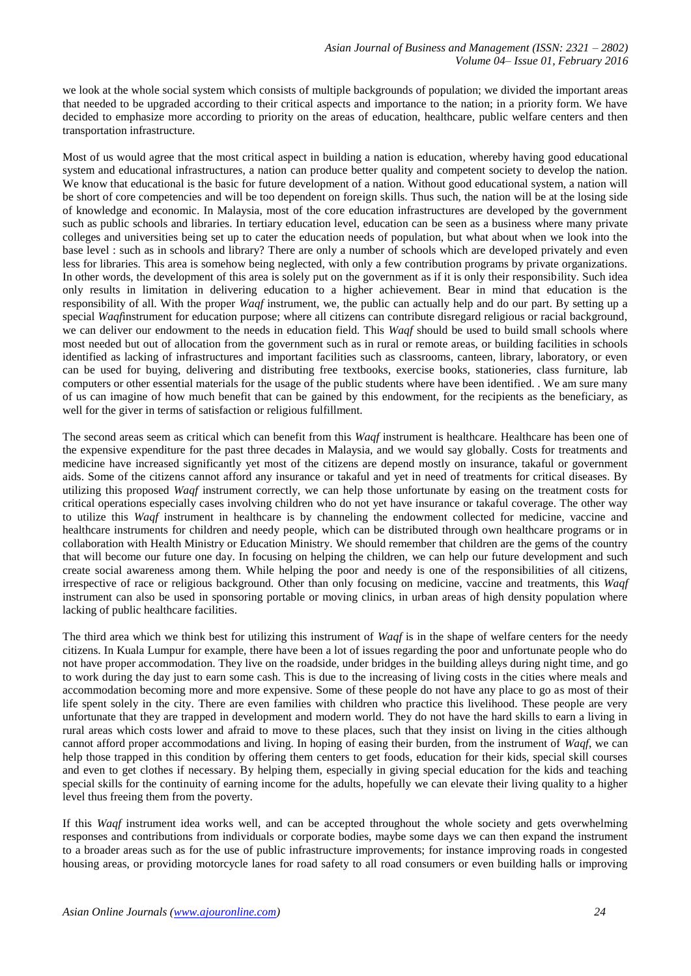we look at the whole social system which consists of multiple backgrounds of population; we divided the important areas that needed to be upgraded according to their critical aspects and importance to the nation; in a priority form. We have decided to emphasize more according to priority on the areas of education, healthcare, public welfare centers and then transportation infrastructure.

Most of us would agree that the most critical aspect in building a nation is education, whereby having good educational system and educational infrastructures, a nation can produce better quality and competent society to develop the nation. We know that educational is the basic for future development of a nation. Without good educational system, a nation will be short of core competencies and will be too dependent on foreign skills. Thus such, the nation will be at the losing side of knowledge and economic. In Malaysia, most of the core education infrastructures are developed by the government such as public schools and libraries. In tertiary education level, education can be seen as a business where many private colleges and universities being set up to cater the education needs of population, but what about when we look into the base level : such as in schools and library? There are only a number of schools which are developed privately and even less for libraries. This area is somehow being neglected, with only a few contribution programs by private organizations. In other words, the development of this area is solely put on the government as if it is only their responsibility. Such idea only results in limitation in delivering education to a higher achievement. Bear in mind that education is the responsibility of all. With the proper *Waqf* instrument, we, the public can actually help and do our part. By setting up a special *Waqf*instrument for education purpose; where all citizens can contribute disregard religious or racial background, we can deliver our endowment to the needs in education field. This *Waqf* should be used to build small schools where most needed but out of allocation from the government such as in rural or remote areas, or building facilities in schools identified as lacking of infrastructures and important facilities such as classrooms, canteen, library, laboratory, or even can be used for buying, delivering and distributing free textbooks, exercise books, stationeries, class furniture, lab computers or other essential materials for the usage of the public students where have been identified. . We am sure many of us can imagine of how much benefit that can be gained by this endowment, for the recipients as the beneficiary, as well for the giver in terms of satisfaction or religious fulfillment.

The second areas seem as critical which can benefit from this *Waqf* instrument is healthcare. Healthcare has been one of the expensive expenditure for the past three decades in Malaysia, and we would say globally. Costs for treatments and medicine have increased significantly yet most of the citizens are depend mostly on insurance, takaful or government aids. Some of the citizens cannot afford any insurance or takaful and yet in need of treatments for critical diseases. By utilizing this proposed *Waqf* instrument correctly, we can help those unfortunate by easing on the treatment costs for critical operations especially cases involving children who do not yet have insurance or takaful coverage. The other way to utilize this *Waqf* instrument in healthcare is by channeling the endowment collected for medicine, vaccine and healthcare instruments for children and needy people, which can be distributed through own healthcare programs or in collaboration with Health Ministry or Education Ministry. We should remember that children are the gems of the country that will become our future one day. In focusing on helping the children, we can help our future development and such create social awareness among them. While helping the poor and needy is one of the responsibilities of all citizens, irrespective of race or religious background. Other than only focusing on medicine, vaccine and treatments, this *Waqf* instrument can also be used in sponsoring portable or moving clinics, in urban areas of high density population where lacking of public healthcare facilities.

The third area which we think best for utilizing this instrument of *Waqf* is in the shape of welfare centers for the needy citizens. In Kuala Lumpur for example, there have been a lot of issues regarding the poor and unfortunate people who do not have proper accommodation. They live on the roadside, under bridges in the building alleys during night time, and go to work during the day just to earn some cash. This is due to the increasing of living costs in the cities where meals and accommodation becoming more and more expensive. Some of these people do not have any place to go as most of their life spent solely in the city. There are even families with children who practice this livelihood. These people are very unfortunate that they are trapped in development and modern world. They do not have the hard skills to earn a living in rural areas which costs lower and afraid to move to these places, such that they insist on living in the cities although cannot afford proper accommodations and living. In hoping of easing their burden, from the instrument of *Waqf*, we can help those trapped in this condition by offering them centers to get foods, education for their kids, special skill courses and even to get clothes if necessary. By helping them, especially in giving special education for the kids and teaching special skills for the continuity of earning income for the adults, hopefully we can elevate their living quality to a higher level thus freeing them from the poverty.

If this *Waqf* instrument idea works well, and can be accepted throughout the whole society and gets overwhelming responses and contributions from individuals or corporate bodies, maybe some days we can then expand the instrument to a broader areas such as for the use of public infrastructure improvements; for instance improving roads in congested housing areas, or providing motorcycle lanes for road safety to all road consumers or even building halls or improving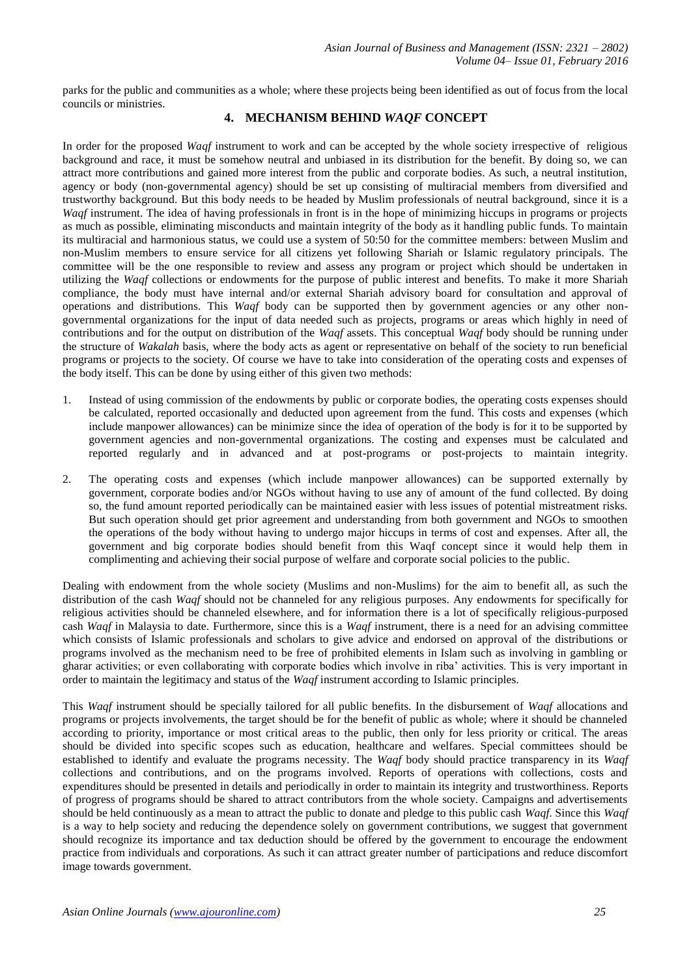parks for the public and communities as a whole; where these projects being been identified as out of focus from the local councils or ministries.

### **4. MECHANISM BEHIND** *WAQF* **CONCEPT**

In order for the proposed *Waqf* instrument to work and can be accepted by the whole society irrespective of religious background and race, it must be somehow neutral and unbiased in its distribution for the benefit. By doing so, we can attract more contributions and gained more interest from the public and corporate bodies. As such, a neutral institution, agency or body (non-governmental agency) should be set up consisting of multiracial members from diversified and trustworthy background. But this body needs to be headed by Muslim professionals of neutral background, since it is a *Waqf* instrument. The idea of having professionals in front is in the hope of minimizing hiccups in programs or projects as much as possible, eliminating misconducts and maintain integrity of the body as it handling public funds. To maintain its multiracial and harmonious status, we could use a system of 50:50 for the committee members: between Muslim and non-Muslim members to ensure service for all citizens yet following Shariah or Islamic regulatory principals. The committee will be the one responsible to review and assess any program or project which should be undertaken in utilizing the *Waqf* collections or endowments for the purpose of public interest and benefits. To make it more Shariah compliance, the body must have internal and/or external Shariah advisory board for consultation and approval of operations and distributions. This *Waqf* body can be supported then by government agencies or any other nongovernmental organizations for the input of data needed such as projects, programs or areas which highly in need of contributions and for the output on distribution of the *Waqf* assets. This conceptual *Waqf* body should be running under the structure of *Wakalah* basis, where the body acts as agent or representative on behalf of the society to run beneficial programs or projects to the society. Of course we have to take into consideration of the operating costs and expenses of the body itself. This can be done by using either of this given two methods:

- 1. Instead of using commission of the endowments by public or corporate bodies, the operating costs expenses should be calculated, reported occasionally and deducted upon agreement from the fund. This costs and expenses (which include manpower allowances) can be minimize since the idea of operation of the body is for it to be supported by government agencies and non-governmental organizations. The costing and expenses must be calculated and reported regularly and in advanced and at post-programs or post-projects to maintain integrity.
- 2. The operating costs and expenses (which include manpower allowances) can be supported externally by government, corporate bodies and/or NGOs without having to use any of amount of the fund collected. By doing so, the fund amount reported periodically can be maintained easier with less issues of potential mistreatment risks. But such operation should get prior agreement and understanding from both government and NGOs to smoothen the operations of the body without having to undergo major hiccups in terms of cost and expenses. After all, the government and big corporate bodies should benefit from this Waqf concept since it would help them in complimenting and achieving their social purpose of welfare and corporate social policies to the public.

Dealing with endowment from the whole society (Muslims and non-Muslims) for the aim to benefit all, as such the distribution of the cash *Waqf* should not be channeled for any religious purposes. Any endowments for specifically for religious activities should be channeled elsewhere, and for information there is a lot of specifically religious-purposed cash *Waqf* in Malaysia to date. Furthermore, since this is a *Waqf* instrument, there is a need for an advising committee which consists of Islamic professionals and scholars to give advice and endorsed on approval of the distributions or programs involved as the mechanism need to be free of prohibited elements in Islam such as involving in gambling or gharar activities; or even collaborating with corporate bodies which involve in riba' activities. This is very important in order to maintain the legitimacy and status of the *Waqf* instrument according to Islamic principles.

This *Waqf* instrument should be specially tailored for all public benefits. In the disbursement of *Waqf* allocations and programs or projects involvements, the target should be for the benefit of public as whole; where it should be channeled according to priority, importance or most critical areas to the public, then only for less priority or critical. The areas should be divided into specific scopes such as education, healthcare and welfares. Special committees should be established to identify and evaluate the programs necessity. The *Waqf* body should practice transparency in its *Waqf* collections and contributions, and on the programs involved. Reports of operations with collections, costs and expenditures should be presented in details and periodically in order to maintain its integrity and trustworthiness. Reports of progress of programs should be shared to attract contributors from the whole society. Campaigns and advertisements should be held continuously as a mean to attract the public to donate and pledge to this public cash *Waqf*. Since this *Waqf* is a way to help society and reducing the dependence solely on government contributions, we suggest that government should recognize its importance and tax deduction should be offered by the government to encourage the endowment practice from individuals and corporations. As such it can attract greater number of participations and reduce discomfort image towards government.